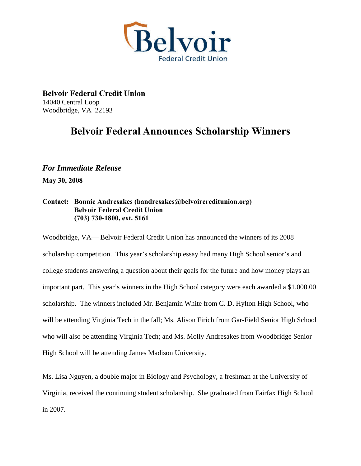

**Belvoir Federal Credit Union**  14040 Central Loop Woodbridge, VA 22193

## **Belvoir Federal Announces Scholarship Winners**

## *For Immediate Release*

**May 30, 2008** 

## **Contact: Bonnie Andresakes (bandresakes@belvoircreditunion.org) Belvoir Federal Credit Union (703) 730-1800, ext. 5161**

Woodbridge, VA— Belvoir Federal Credit Union has announced the winners of its 2008 scholarship competition. This year's scholarship essay had many High School senior's and college students answering a question about their goals for the future and how money plays an important part. This year's winners in the High School category were each awarded a \$1,000.00 scholarship. The winners included Mr. Benjamin White from C. D. Hylton High School, who will be attending Virginia Tech in the fall; Ms. Alison Firich from Gar-Field Senior High School who will also be attending Virginia Tech; and Ms. Molly Andresakes from Woodbridge Senior High School will be attending James Madison University.

Ms. Lisa Nguyen, a double major in Biology and Psychology, a freshman at the University of Virginia, received the continuing student scholarship. She graduated from Fairfax High School in 2007.